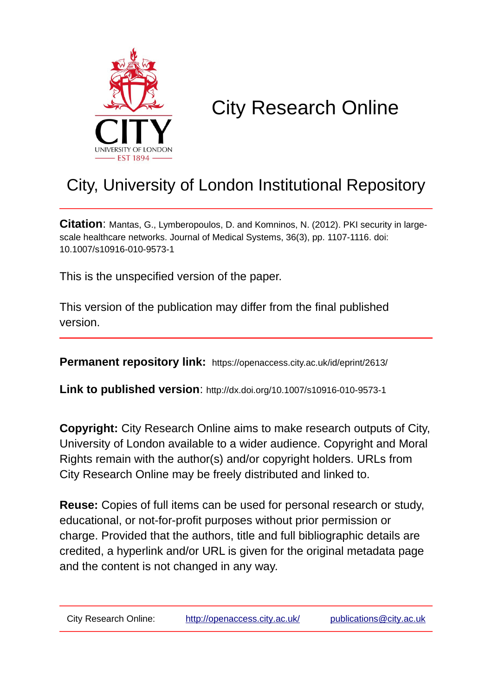

# City Research Online

## City, University of London Institutional Repository

**Citation**: Mantas, G., Lymberopoulos, D. and Komninos, N. (2012). PKI security in largescale healthcare networks. Journal of Medical Systems, 36(3), pp. 1107-1116. doi: 10.1007/s10916-010-9573-1

This is the unspecified version of the paper.

This version of the publication may differ from the final published version.

**Permanent repository link:** https://openaccess.city.ac.uk/id/eprint/2613/

**Link to published version**: http://dx.doi.org/10.1007/s10916-010-9573-1

**Copyright:** City Research Online aims to make research outputs of City, University of London available to a wider audience. Copyright and Moral Rights remain with the author(s) and/or copyright holders. URLs from City Research Online may be freely distributed and linked to.

**Reuse:** Copies of full items can be used for personal research or study, educational, or not-for-profit purposes without prior permission or charge. Provided that the authors, title and full bibliographic details are credited, a hyperlink and/or URL is given for the original metadata page and the content is not changed in any way.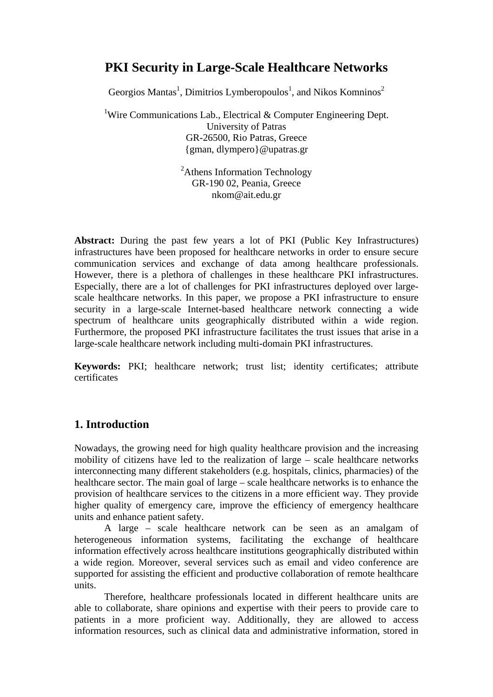## **PKI Security in Large-Scale Healthcare Networks**

Georgios Mantas<sup>1</sup>, Dimitrios Lymberopoulos<sup>1</sup>, and Nikos Komninos<sup>2</sup>

<sup>1</sup>Wire Communications Lab., Electrical & Computer Engineering Dept. University of Patras GR-26500, Rio Patras, Greece {gman, dlympero}@upatras.gr

> <sup>2</sup>Athens Information Technology GR-190 02, Peania, Greece nkom@ait.edu.gr

Abstract: During the past few years a lot of PKI (Public Key Infrastructures) infrastructures have been proposed for healthcare networks in order to ensure secure communication services and exchange of data among healthcare professionals. However, there is a plethora of challenges in these healthcare PKI infrastructures. Especially, there are a lot of challenges for PKI infrastructures deployed over largescale healthcare networks. In this paper, we propose a PKI infrastructure to ensure security in a large-scale Internet-based healthcare network connecting a wide spectrum of healthcare units geographically distributed within a wide region. Furthermore, the proposed PKI infrastructure facilitates the trust issues that arise in a large-scale healthcare network including multi-domain PKI infrastructures.

**Keywords:** PKI; healthcare network; trust list; identity certificates; attribute certificates

### **1. Introduction**

Nowadays, the growing need for high quality healthcare provision and the increasing mobility of citizens have led to the realization of large – scale healthcare networks interconnecting many different stakeholders (e.g. hospitals, clinics, pharmacies) of the healthcare sector. The main goal of large – scale healthcare networks is to enhance the provision of healthcare services to the citizens in a more efficient way. They provide higher quality of emergency care, improve the efficiency of emergency healthcare units and enhance patient safety.

A large – scale healthcare network can be seen as an amalgam of heterogeneous information systems, facilitating the exchange of healthcare information effectively across healthcare institutions geographically distributed within a wide region. Moreover, several services such as email and video conference are supported for assisting the efficient and productive collaboration of remote healthcare units.

Therefore, healthcare professionals located in different healthcare units are able to collaborate, share opinions and expertise with their peers to provide care to patients in a more proficient way. Additionally, they are allowed to access information resources, such as clinical data and administrative information, stored in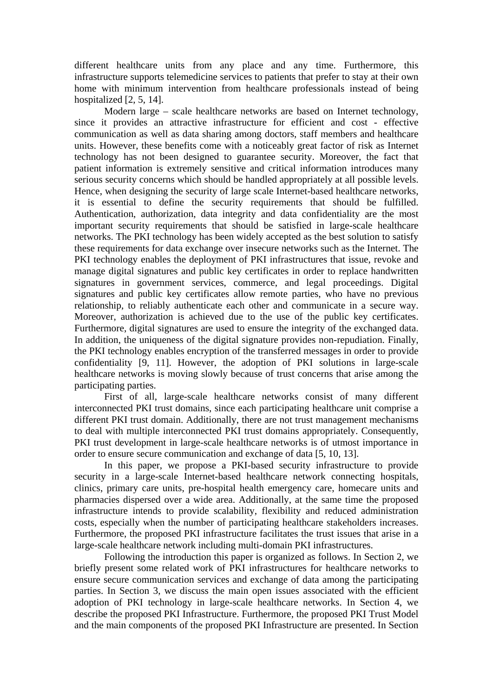different healthcare units from any place and any time. Furthermore, this infrastructure supports telemedicine services to patients that prefer to stay at their own home with minimum intervention from healthcare professionals instead of being hospitalized [2, 5, 14].

Modern large – scale healthcare networks are based on Internet technology, since it provides an attractive infrastructure for efficient and cost - effective communication as well as data sharing among doctors, staff members and healthcare units. However, these benefits come with a noticeably great factor of risk as Internet technology has not been designed to guarantee security. Moreover, the fact that patient information is extremely sensitive and critical information introduces many serious security concerns which should be handled appropriately at all possible levels. Hence, when designing the security of large scale Internet-based healthcare networks, it is essential to define the security requirements that should be fulfilled. Authentication, authorization, data integrity and data confidentiality are the most important security requirements that should be satisfied in large-scale healthcare networks. The PKI technology has been widely accepted as the best solution to satisfy these requirements for data exchange over insecure networks such as the Internet. The PKI technology enables the deployment of PKI infrastructures that issue, revoke and manage digital signatures and public key certificates in order to replace handwritten signatures in government services, commerce, and legal proceedings. Digital signatures and public key certificates allow remote parties, who have no previous relationship, to reliably authenticate each other and communicate in a secure way. Moreover, authorization is achieved due to the use of the public key certificates. Furthermore, digital signatures are used to ensure the integrity of the exchanged data. In addition, the uniqueness of the digital signature provides non-repudiation. Finally, the PKI technology enables encryption of the transferred messages in order to provide confidentiality [9, 11]. However, the adoption of PKI solutions in large-scale healthcare networks is moving slowly because of trust concerns that arise among the participating parties.

First of all, large-scale healthcare networks consist of many different interconnected PKI trust domains, since each participating healthcare unit comprise a different PKI trust domain. Additionally, there are not trust management mechanisms to deal with multiple interconnected PKI trust domains appropriately. Consequently, PKI trust development in large-scale healthcare networks is of utmost importance in order to ensure secure communication and exchange of data [5, 10, 13].

In this paper, we propose a PKI-based security infrastructure to provide security in a large-scale Internet-based healthcare network connecting hospitals, clinics, primary care units, pre-hospital health emergency care, homecare units and pharmacies dispersed over a wide area. Additionally, at the same time the proposed infrastructure intends to provide scalability, flexibility and reduced administration costs, especially when the number of participating healthcare stakeholders increases. Furthermore, the proposed PKI infrastructure facilitates the trust issues that arise in a large-scale healthcare network including multi-domain PKI infrastructures.

Following the introduction this paper is organized as follows. In Section 2, we briefly present some related work of PKI infrastructures for healthcare networks to ensure secure communication services and exchange of data among the participating parties. In Section 3, we discuss the main open issues associated with the efficient adoption of PKI technology in large-scale healthcare networks. In Section 4, we describe the proposed PKI Infrastructure. Furthermore, the proposed PKI Trust Model and the main components of the proposed PKI Infrastructure are presented. In Section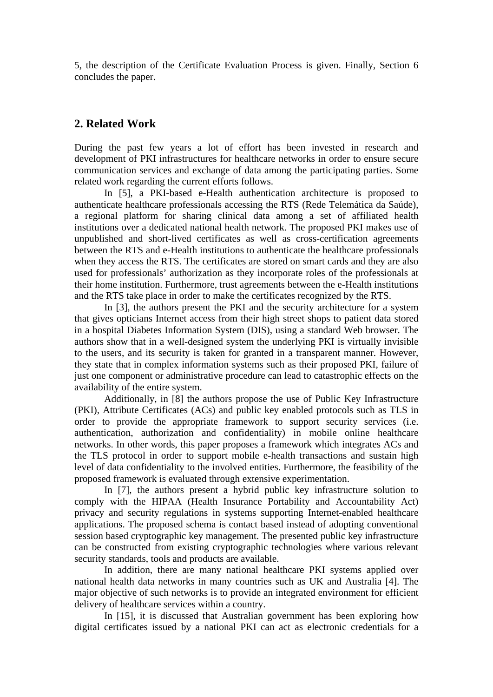5, the description of the Certificate Evaluation Process is given. Finally, Section 6 concludes the paper.

## **2. Related Work**

During the past few years a lot of effort has been invested in research and development of PKI infrastructures for healthcare networks in order to ensure secure communication services and exchange of data among the participating parties. Some related work regarding the current efforts follows.

In [5], a PKI-based e-Health authentication architecture is proposed to authenticate healthcare professionals accessing the RTS (Rede Telemática da Saúde), a regional platform for sharing clinical data among a set of affiliated health institutions over a dedicated national health network. The proposed PKI makes use of unpublished and short-lived certificates as well as cross-certification agreements between the RTS and e-Health institutions to authenticate the healthcare professionals when they access the RTS. The certificates are stored on smart cards and they are also used for professionals' authorization as they incorporate roles of the professionals at their home institution. Furthermore, trust agreements between the e-Health institutions and the RTS take place in order to make the certificates recognized by the RTS.

In [3], the authors present the PKI and the security architecture for a system that gives opticians Internet access from their high street shops to patient data stored in a hospital Diabetes Information System (DIS), using a standard Web browser. The authors show that in a well-designed system the underlying PKI is virtually invisible to the users, and its security is taken for granted in a transparent manner. However, they state that in complex information systems such as their proposed PKI, failure of just one component or administrative procedure can lead to catastrophic effects on the availability of the entire system.

Additionally, in [8] the authors propose the use of Public Key Infrastructure (PKI), Attribute Certificates (ACs) and public key enabled protocols such as TLS in order to provide the appropriate framework to support security services (i.e. authentication, authorization and confidentiality) in mobile online healthcare networks. In other words, this paper proposes a framework which integrates ACs and the TLS protocol in order to support mobile e-health transactions and sustain high level of data confidentiality to the involved entities. Furthermore, the feasibility of the proposed framework is evaluated through extensive experimentation.

In [7], the authors present a hybrid public key infrastructure solution to comply with the HIPAA (Health Insurance Portability and Accountability Act) privacy and security regulations in systems supporting Internet-enabled healthcare applications. The proposed schema is contact based instead of adopting conventional session based cryptographic key management. The presented public key infrastructure can be constructed from existing cryptographic technologies where various relevant security standards, tools and products are available.

In addition, there are many national healthcare PKI systems applied over national health data networks in many countries such as UK and Australia [4]. The major objective of such networks is to provide an integrated environment for efficient delivery of healthcare services within a country.

In [15], it is discussed that Australian government has been exploring how digital certificates issued by a national PKI can act as electronic credentials for a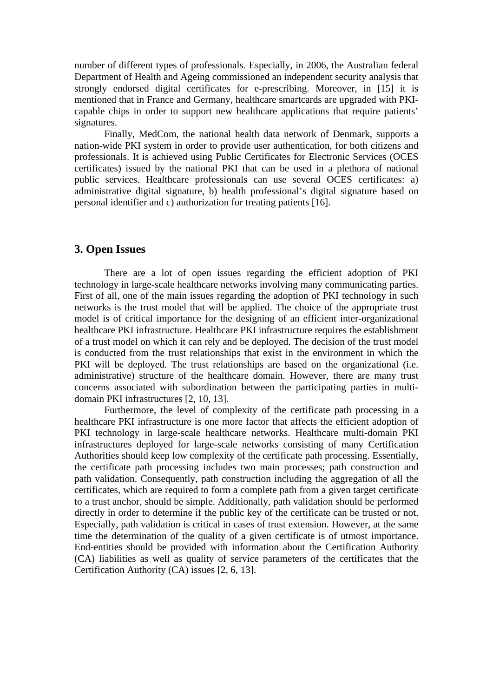number of different types of professionals. Especially, in 2006, the Australian federal Department of Health and Ageing commissioned an independent security analysis that strongly endorsed digital certificates for e-prescribing. Moreover, in [15] it is mentioned that in France and Germany, healthcare smartcards are upgraded with PKIcapable chips in order to support new healthcare applications that require patients' signatures.

Finally, MedCom, the national health data network of Denmark, supports a nation-wide PKI system in order to provide user authentication, for both citizens and professionals. It is achieved using Public Certificates for Electronic Services (OCES certificates) issued by the national PKI that can be used in a plethora of national public services. Healthcare professionals can use several OCES certificates: a) administrative digital signature, b) health professional's digital signature based on personal identifier and c) authorization for treating patients [16].

#### **3. Open Issues**

There are a lot of open issues regarding the efficient adoption of PKI technology in large-scale healthcare networks involving many communicating parties. First of all, one of the main issues regarding the adoption of PKI technology in such networks is the trust model that will be applied. The choice of the appropriate trust model is of critical importance for the designing of an efficient inter-organizational healthcare PKI infrastructure. Healthcare PKI infrastructure requires the establishment of a trust model on which it can rely and be deployed. The decision of the trust model is conducted from the trust relationships that exist in the environment in which the PKI will be deployed. The trust relationships are based on the organizational (i.e. administrative) structure of the healthcare domain. However, there are many trust concerns associated with subordination between the participating parties in multidomain PKI infrastructures [2, 10, 13].

Furthermore, the level of complexity of the certificate path processing in a healthcare PKI infrastructure is one more factor that affects the efficient adoption of PKI technology in large-scale healthcare networks. Healthcare multi-domain PKI infrastructures deployed for large-scale networks consisting of many Certification Authorities should keep low complexity of the certificate path processing. Essentially, the certificate path processing includes two main processes; path construction and path validation. Consequently, path construction including the aggregation of all the certificates, which are required to form a complete path from a given target certificate to a trust anchor, should be simple. Additionally, path validation should be performed directly in order to determine if the public key of the certificate can be trusted or not. Especially, path validation is critical in cases of trust extension. However, at the same time the determination of the quality of a given certificate is of utmost importance. End-entities should be provided with information about the Certification Authority (CA) liabilities as well as quality of service parameters of the certificates that the Certification Authority (CA) issues [2, 6, 13].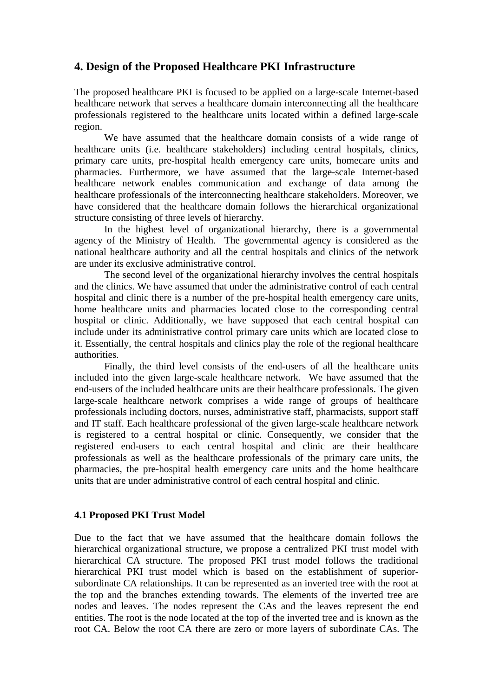## **4. Design of the Proposed Healthcare PKI Infrastructure**

The proposed healthcare PKI is focused to be applied on a large-scale Internet-based healthcare network that serves a healthcare domain interconnecting all the healthcare professionals registered to the healthcare units located within a defined large-scale region.

We have assumed that the healthcare domain consists of a wide range of healthcare units (i.e. healthcare stakeholders) including central hospitals, clinics, primary care units, pre-hospital health emergency care units, homecare units and pharmacies. Furthermore, we have assumed that the large-scale Internet-based healthcare network enables communication and exchange of data among the healthcare professionals of the interconnecting healthcare stakeholders. Moreover, we have considered that the healthcare domain follows the hierarchical organizational structure consisting of three levels of hierarchy.

In the highest level of organizational hierarchy, there is a governmental agency of the Ministry of Health. The governmental agency is considered as the national healthcare authority and all the central hospitals and clinics of the network are under its exclusive administrative control.

The second level of the organizational hierarchy involves the central hospitals and the clinics. We have assumed that under the administrative control of each central hospital and clinic there is a number of the pre-hospital health emergency care units, home healthcare units and pharmacies located close to the corresponding central hospital or clinic. Additionally, we have supposed that each central hospital can include under its administrative control primary care units which are located close to it. Essentially, the central hospitals and clinics play the role of the regional healthcare authorities.

Finally, the third level consists of the end-users of all the healthcare units included into the given large-scale healthcare network. We have assumed that the end-users of the included healthcare units are their healthcare professionals. The given large-scale healthcare network comprises a wide range of groups of healthcare professionals including doctors, nurses, administrative staff, pharmacists, support staff and IT staff. Each healthcare professional of the given large-scale healthcare network is registered to a central hospital or clinic. Consequently, we consider that the registered end-users to each central hospital and clinic are their healthcare professionals as well as the healthcare professionals of the primary care units, the pharmacies, the pre-hospital health emergency care units and the home healthcare units that are under administrative control of each central hospital and clinic.

#### **4.1 Proposed PKI Trust Model**

Due to the fact that we have assumed that the healthcare domain follows the hierarchical organizational structure, we propose a centralized PKI trust model with hierarchical CA structure. The proposed PKI trust model follows the traditional hierarchical PKI trust model which is based on the establishment of superiorsubordinate CA relationships. It can be represented as an inverted tree with the root at the top and the branches extending towards. The elements of the inverted tree are nodes and leaves. The nodes represent the CAs and the leaves represent the end entities. The root is the node located at the top of the inverted tree and is known as the root CA. Below the root CA there are zero or more layers of subordinate CAs. The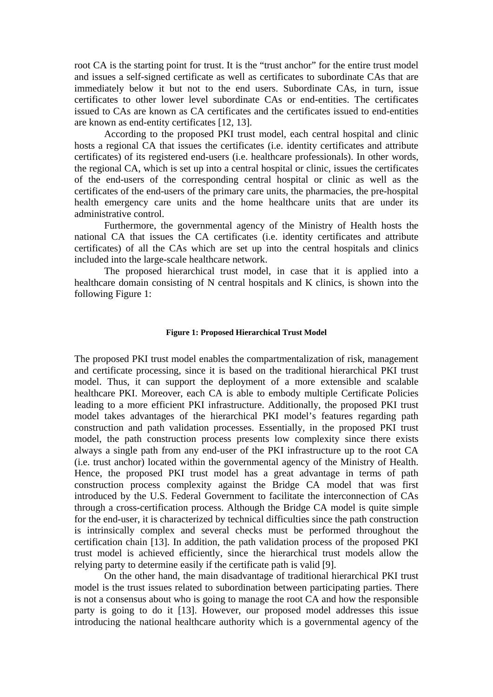root CA is the starting point for trust. It is the "trust anchor" for the entire trust model and issues a self-signed certificate as well as certificates to subordinate CAs that are immediately below it but not to the end users. Subordinate CAs, in turn, issue certificates to other lower level subordinate CAs or end-entities. The certificates issued to CAs are known as CA certificates and the certificates issued to end-entities are known as end-entity certificates [12, 13].

According to the proposed PKI trust model, each central hospital and clinic hosts a regional CA that issues the certificates (i.e. identity certificates and attribute certificates) of its registered end-users (i.e. healthcare professionals). In other words, the regional CA, which is set up into a central hospital or clinic, issues the certificates of the end-users of the corresponding central hospital or clinic as well as the certificates of the end-users of the primary care units, the pharmacies, the pre-hospital health emergency care units and the home healthcare units that are under its administrative control.

Furthermore, the governmental agency of the Ministry of Health hosts the national CA that issues the CA certificates (i.e. identity certificates and attribute certificates) of all the CAs which are set up into the central hospitals and clinics included into the large-scale healthcare network.

The proposed hierarchical trust model, in case that it is applied into a healthcare domain consisting of N central hospitals and K clinics, is shown into the following Figure 1:

#### **Figure 1: Proposed Hierarchical Trust Model**

The proposed PKI trust model enables the compartmentalization of risk, management and certificate processing, since it is based on the traditional hierarchical PKI trust model. Thus, it can support the deployment of a more extensible and scalable healthcare PKI. Moreover, each CA is able to embody multiple Certificate Policies leading to a more efficient PKI infrastructure. Additionally, the proposed PKI trust model takes advantages of the hierarchical PKI model's features regarding path construction and path validation processes. Essentially, in the proposed PKI trust model, the path construction process presents low complexity since there exists always a single path from any end-user of the PKI infrastructure up to the root CA (i.e. trust anchor) located within the governmental agency of the Ministry of Health. Hence, the proposed PKI trust model has a great advantage in terms of path construction process complexity against the Bridge CA model that was first introduced by the U.S. Federal Government to facilitate the interconnection of CAs through a cross-certification process. Although the Bridge CA model is quite simple for the end-user, it is characterized by technical difficulties since the path construction is intrinsically complex and several checks must be performed throughout the certification chain [13]. In addition, the path validation process of the proposed PKI trust model is achieved efficiently, since the hierarchical trust models allow the relying party to determine easily if the certificate path is valid [9].

On the other hand, the main disadvantage of traditional hierarchical PKI trust model is the trust issues related to subordination between participating parties. There is not a consensus about who is going to manage the root CA and how the responsible party is going to do it [13]. However, our proposed model addresses this issue introducing the national healthcare authority which is a governmental agency of the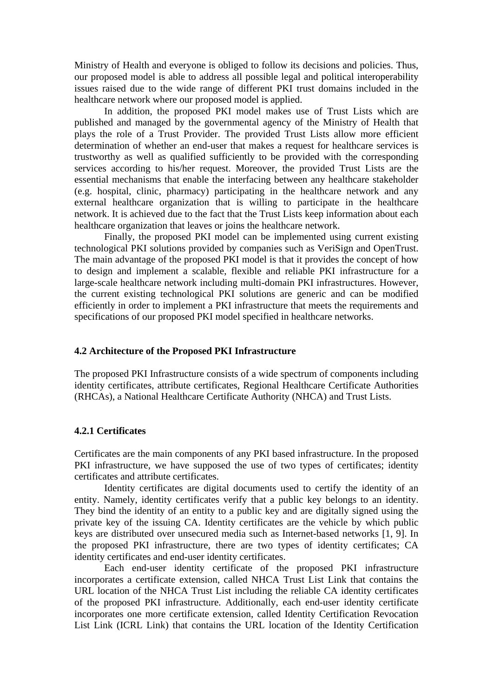Ministry of Health and everyone is obliged to follow its decisions and policies. Thus, our proposed model is able to address all possible legal and political interoperability issues raised due to the wide range of different PKI trust domains included in the healthcare network where our proposed model is applied.

In addition, the proposed PKI model makes use of Trust Lists which are published and managed by the governmental agency of the Ministry of Health that plays the role of a Trust Provider. The provided Trust Lists allow more efficient determination of whether an end-user that makes a request for healthcare services is trustworthy as well as qualified sufficiently to be provided with the corresponding services according to his/her request. Moreover, the provided Trust Lists are the essential mechanisms that enable the interfacing between any healthcare stakeholder (e.g. hospital, clinic, pharmacy) participating in the healthcare network and any external healthcare organization that is willing to participate in the healthcare network. It is achieved due to the fact that the Trust Lists keep information about each healthcare organization that leaves or joins the healthcare network.

Finally, the proposed PKI model can be implemented using current existing technological PKI solutions provided by companies such as VeriSign and OpenTrust. The main advantage of the proposed PKI model is that it provides the concept of how to design and implement a scalable, flexible and reliable PKI infrastructure for a large-scale healthcare network including multi-domain PKI infrastructures. However, the current existing technological PKI solutions are generic and can be modified efficiently in order to implement a PKI infrastructure that meets the requirements and specifications of our proposed PKI model specified in healthcare networks.

#### **4.2 Architecture of the Proposed PKI Infrastructure**

The proposed PKI Infrastructure consists of a wide spectrum of components including identity certificates, attribute certificates, Regional Healthcare Certificate Authorities (RHCAs), a National Healthcare Certificate Authority (NHCA) and Trust Lists.

#### **4.2.1 Certificates**

Certificates are the main components of any PKI based infrastructure. In the proposed PKI infrastructure, we have supposed the use of two types of certificates; identity certificates and attribute certificates.

Identity certificates are digital documents used to certify the identity of an entity. Namely, identity certificates verify that a public key belongs to an identity. They bind the identity of an entity to a public key and are digitally signed using the private key of the issuing CA. Identity certificates are the vehicle by which public keys are distributed over unsecured media such as Internet-based networks [1, 9]. In the proposed PKI infrastructure, there are two types of identity certificates; CA identity certificates and end-user identity certificates.

Each end-user identity certificate of the proposed PKI infrastructure incorporates a certificate extension, called NHCA Trust List Link that contains the URL location of the NHCA Trust List including the reliable CA identity certificates of the proposed PKI infrastructure. Additionally, each end-user identity certificate incorporates one more certificate extension, called Identity Certification Revocation List Link (ICRL Link) that contains the URL location of the Identity Certification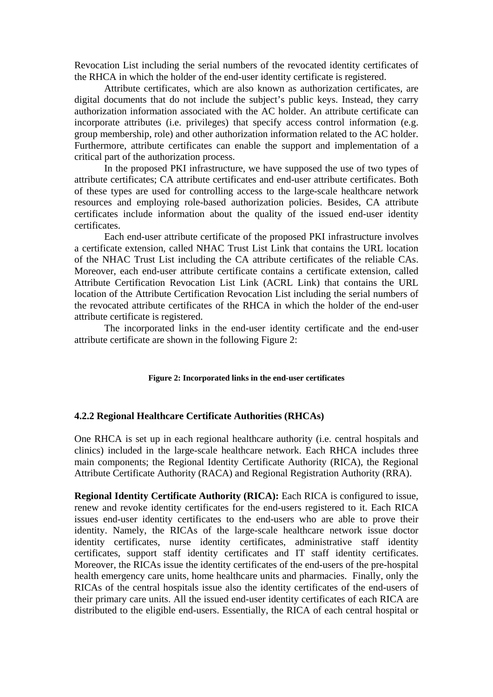Revocation List including the serial numbers of the revocated identity certificates of the RHCA in which the holder of the end-user identity certificate is registered.

Attribute certificates, which are also known as authorization certificates, are digital documents that do not include the subject's public keys. Instead, they carry authorization information associated with the AC holder. An attribute certificate can incorporate attributes (i.e. privileges) that specify access control information (e.g. group membership, role) and other authorization information related to the AC holder. Furthermore, attribute certificates can enable the support and implementation of a critical part of the authorization process.

In the proposed PKI infrastructure, we have supposed the use of two types of attribute certificates; CA attribute certificates and end-user attribute certificates. Both of these types are used for controlling access to the large-scale healthcare network resources and employing role-based authorization policies. Besides, CA attribute certificates include information about the quality of the issued end-user identity certificates.

Each end-user attribute certificate of the proposed PKI infrastructure involves a certificate extension, called NHAC Trust List Link that contains the URL location of the NHAC Trust List including the CA attribute certificates of the reliable CAs. Moreover, each end-user attribute certificate contains a certificate extension, called Attribute Certification Revocation List Link (ACRL Link) that contains the URL location of the Attribute Certification Revocation List including the serial numbers of the revocated attribute certificates of the RHCA in which the holder of the end-user attribute certificate is registered.

The incorporated links in the end-user identity certificate and the end-user attribute certificate are shown in the following Figure 2:

#### **Figure 2: Incorporated links in the end-user certificates**

#### **4.2.2 Regional Healthcare Certificate Authorities (RHCAs)**

One RHCA is set up in each regional healthcare authority (i.e. central hospitals and clinics) included in the large-scale healthcare network. Each RHCA includes three main components; the Regional Identity Certificate Authority (RICA), the Regional Attribute Certificate Authority (RACA) and Regional Registration Authority (RRA).

**Regional Identity Certificate Authority (RICA):** Each RICA is configured to issue, renew and revoke identity certificates for the end-users registered to it. Each RICA issues end-user identity certificates to the end-users who are able to prove their identity. Namely, the RICAs of the large-scale healthcare network issue doctor identity certificates, nurse identity certificates, administrative staff identity certificates, support staff identity certificates and IT staff identity certificates. Moreover, the RICAs issue the identity certificates of the end-users of the pre-hospital health emergency care units, home healthcare units and pharmacies. Finally, only the RICAs of the central hospitals issue also the identity certificates of the end-users of their primary care units. All the issued end-user identity certificates of each RICA are distributed to the eligible end-users. Essentially, the RICA of each central hospital or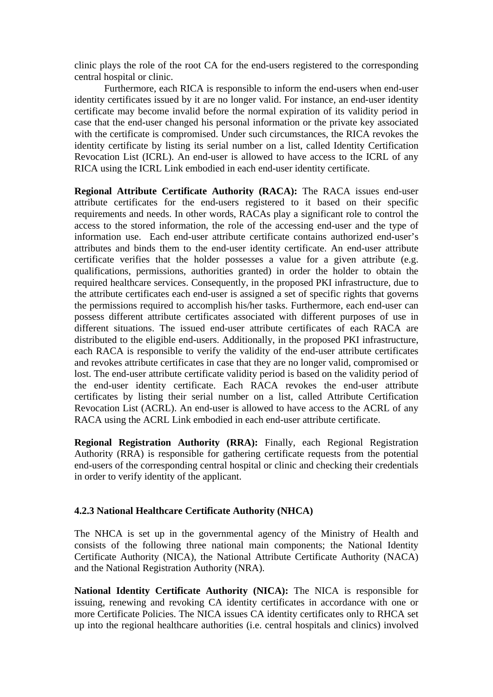clinic plays the role of the root CA for the end-users registered to the corresponding central hospital or clinic.

Furthermore, each RICA is responsible to inform the end-users when end-user identity certificates issued by it are no longer valid. For instance, an end-user identity certificate may become invalid before the normal expiration of its validity period in case that the end-user changed his personal information or the private key associated with the certificate is compromised. Under such circumstances, the RICA revokes the identity certificate by listing its serial number on a list, called Identity Certification Revocation List (ICRL). An end-user is allowed to have access to the ICRL of any RICA using the ICRL Link embodied in each end-user identity certificate.

**Regional Attribute Certificate Authority (RACA):** The RACA issues end-user attribute certificates for the end-users registered to it based on their specific requirements and needs. In other words, RACAs play a significant role to control the access to the stored information, the role of the accessing end-user and the type of information use. Each end-user attribute certificate contains authorized end-user's attributes and binds them to the end-user identity certificate. An end-user attribute certificate verifies that the holder possesses a value for a given attribute (e.g. qualifications, permissions, authorities granted) in order the holder to obtain the required healthcare services. Consequently, in the proposed PKI infrastructure, due to the attribute certificates each end-user is assigned a set of specific rights that governs the permissions required to accomplish his/her tasks. Furthermore, each end-user can possess different attribute certificates associated with different purposes of use in different situations. The issued end-user attribute certificates of each RACA are distributed to the eligible end-users. Additionally, in the proposed PKI infrastructure, each RACA is responsible to verify the validity of the end-user attribute certificates and revokes attribute certificates in case that they are no longer valid, compromised or lost. The end-user attribute certificate validity period is based on the validity period of the end-user identity certificate. Each RACA revokes the end-user attribute certificates by listing their serial number on a list, called Attribute Certification Revocation List (ACRL). An end-user is allowed to have access to the ACRL of any RACA using the ACRL Link embodied in each end-user attribute certificate.

**Regional Registration Authority (RRA):** Finally, each Regional Registration Authority (RRA) is responsible for gathering certificate requests from the potential end-users of the corresponding central hospital or clinic and checking their credentials in order to verify identity of the applicant.

#### **4.2.3 National Healthcare Certificate Authority (NHCA)**

The NHCA is set up in the governmental agency of the Ministry of Health and consists of the following three national main components; the National Identity Certificate Authority (NICA), the National Attribute Certificate Authority (NACA) and the National Registration Authority (NRA).

**National Identity Certificate Authority (NICA):** The NICA is responsible for issuing, renewing and revoking CA identity certificates in accordance with one or more Certificate Policies. The NICA issues CA identity certificates only to RHCA set up into the regional healthcare authorities (i.e. central hospitals and clinics) involved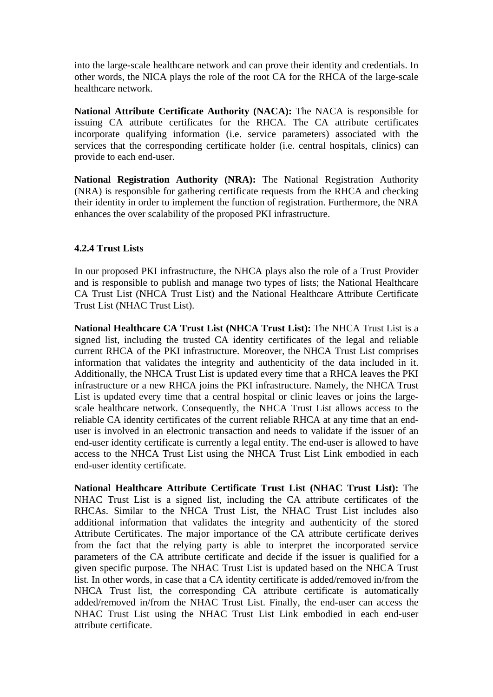into the large-scale healthcare network and can prove their identity and credentials. In other words, the NICA plays the role of the root CA for the RHCA of the large-scale healthcare network.

**National Attribute Certificate Authority (NACA):** The NACA is responsible for issuing CA attribute certificates for the RHCA. The CA attribute certificates incorporate qualifying information (i.e. service parameters) associated with the services that the corresponding certificate holder (i.e. central hospitals, clinics) can provide to each end-user.

**National Registration Authority (NRA):** The National Registration Authority (NRA) is responsible for gathering certificate requests from the RHCA and checking their identity in order to implement the function of registration. Furthermore, the NRA enhances the over scalability of the proposed PKI infrastructure.

#### **4.2.4 Trust Lists**

In our proposed PKI infrastructure, the NHCA plays also the role of a Trust Provider and is responsible to publish and manage two types of lists; the National Healthcare CA Trust List (NHCA Trust List) and the National Healthcare Attribute Certificate Trust List (NHAC Trust List).

**National Healthcare CA Trust List (NHCA Trust List):** The NHCA Trust List is a signed list, including the trusted CA identity certificates of the legal and reliable current RHCA of the PKI infrastructure. Moreover, the NHCA Trust List comprises information that validates the integrity and authenticity of the data included in it. Additionally, the NHCA Trust List is updated every time that a RHCA leaves the PKI infrastructure or a new RHCA joins the PKI infrastructure. Namely, the NHCA Trust List is updated every time that a central hospital or clinic leaves or joins the largescale healthcare network. Consequently, the NHCA Trust List allows access to the reliable CA identity certificates of the current reliable RHCA at any time that an enduser is involved in an electronic transaction and needs to validate if the issuer of an end-user identity certificate is currently a legal entity. The end-user is allowed to have access to the NHCA Trust List using the NHCA Trust List Link embodied in each end-user identity certificate.

**National Healthcare Attribute Certificate Trust List (NHAC Trust List):** The NHAC Trust List is a signed list, including the CA attribute certificates of the RHCAs. Similar to the NHCA Trust List, the NHAC Trust List includes also additional information that validates the integrity and authenticity of the stored Attribute Certificates. The major importance of the CA attribute certificate derives from the fact that the relying party is able to interpret the incorporated service parameters of the CA attribute certificate and decide if the issuer is qualified for a given specific purpose. The NHAC Trust List is updated based on the NHCA Trust list. In other words, in case that a CA identity certificate is added/removed in/from the NHCA Trust list, the corresponding CA attribute certificate is automatically added/removed in/from the NHAC Trust List. Finally, the end-user can access the NHAC Trust List using the NHAC Trust List Link embodied in each end-user attribute certificate.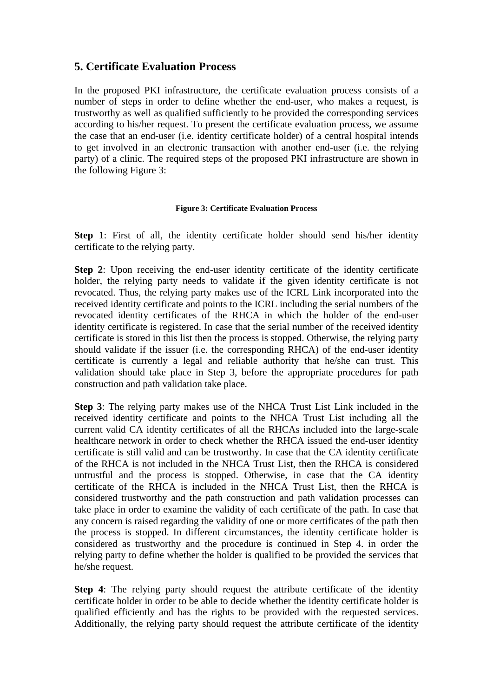## **5. Certificate Evaluation Process**

In the proposed PKI infrastructure, the certificate evaluation process consists of a number of steps in order to define whether the end-user, who makes a request, is trustworthy as well as qualified sufficiently to be provided the corresponding services according to his/her request. To present the certificate evaluation process, we assume the case that an end-user (i.e. identity certificate holder) of a central hospital intends to get involved in an electronic transaction with another end-user (i.e. the relying party) of a clinic. The required steps of the proposed PKI infrastructure are shown in the following Figure 3:

#### **Figure 3: Certificate Evaluation Process**

**Step 1**: First of all, the identity certificate holder should send his/her identity certificate to the relying party.

**Step 2**: Upon receiving the end-user identity certificate of the identity certificate holder, the relying party needs to validate if the given identity certificate is not revocated. Thus, the relying party makes use of the ICRL Link incorporated into the received identity certificate and points to the ICRL including the serial numbers of the revocated identity certificates of the RHCA in which the holder of the end-user identity certificate is registered. In case that the serial number of the received identity certificate is stored in this list then the process is stopped. Otherwise, the relying party should validate if the issuer (i.e. the corresponding RHCA) of the end-user identity certificate is currently a legal and reliable authority that he/she can trust. This validation should take place in Step 3, before the appropriate procedures for path construction and path validation take place.

**Step 3**: The relying party makes use of the NHCA Trust List Link included in the received identity certificate and points to the NHCA Trust List including all the current valid CA identity certificates of all the RHCAs included into the large-scale healthcare network in order to check whether the RHCA issued the end-user identity certificate is still valid and can be trustworthy. In case that the CA identity certificate of the RHCA is not included in the NHCA Trust List, then the RHCA is considered untrustful and the process is stopped. Otherwise, in case that the CA identity certificate of the RHCA is included in the NHCA Trust List, then the RHCA is considered trustworthy and the path construction and path validation processes can take place in order to examine the validity of each certificate of the path. In case that any concern is raised regarding the validity of one or more certificates of the path then the process is stopped. In different circumstances, the identity certificate holder is considered as trustworthy and the procedure is continued in Step 4. in order the relying party to define whether the holder is qualified to be provided the services that he/she request.

**Step 4**: The relying party should request the attribute certificate of the identity certificate holder in order to be able to decide whether the identity certificate holder is qualified efficiently and has the rights to be provided with the requested services. Additionally, the relying party should request the attribute certificate of the identity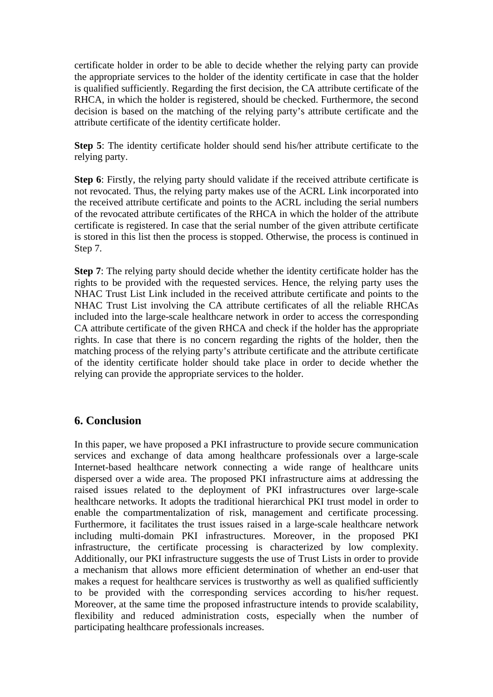certificate holder in order to be able to decide whether the relying party can provide the appropriate services to the holder of the identity certificate in case that the holder is qualified sufficiently. Regarding the first decision, the CA attribute certificate of the RHCA, in which the holder is registered, should be checked. Furthermore, the second decision is based on the matching of the relying party's attribute certificate and the attribute certificate of the identity certificate holder.

**Step 5**: The identity certificate holder should send his/her attribute certificate to the relying party.

**Step 6**: Firstly, the relying party should validate if the received attribute certificate is not revocated. Thus, the relying party makes use of the ACRL Link incorporated into the received attribute certificate and points to the ACRL including the serial numbers of the revocated attribute certificates of the RHCA in which the holder of the attribute certificate is registered. In case that the serial number of the given attribute certificate is stored in this list then the process is stopped. Otherwise, the process is continued in Step 7.

**Step 7**: The relying party should decide whether the identity certificate holder has the rights to be provided with the requested services. Hence, the relying party uses the NHAC Trust List Link included in the received attribute certificate and points to the NHAC Trust List involving the CA attribute certificates of all the reliable RHCAs included into the large-scale healthcare network in order to access the corresponding CA attribute certificate of the given RHCA and check if the holder has the appropriate rights. In case that there is no concern regarding the rights of the holder, then the matching process of the relying party's attribute certificate and the attribute certificate of the identity certificate holder should take place in order to decide whether the relying can provide the appropriate services to the holder.

## **6. Conclusion**

In this paper, we have proposed a PKI infrastructure to provide secure communication services and exchange of data among healthcare professionals over a large-scale Internet-based healthcare network connecting a wide range of healthcare units dispersed over a wide area. The proposed PKI infrastructure aims at addressing the raised issues related to the deployment of PKI infrastructures over large-scale healthcare networks. It adopts the traditional hierarchical PKI trust model in order to enable the compartmentalization of risk, management and certificate processing. Furthermore, it facilitates the trust issues raised in a large-scale healthcare network including multi-domain PKI infrastructures. Moreover, in the proposed PKI infrastructure, the certificate processing is characterized by low complexity. Additionally, our PKI infrastructure suggests the use of Trust Lists in order to provide a mechanism that allows more efficient determination of whether an end-user that makes a request for healthcare services is trustworthy as well as qualified sufficiently to be provided with the corresponding services according to his/her request. Moreover, at the same time the proposed infrastructure intends to provide scalability, flexibility and reduced administration costs, especially when the number of participating healthcare professionals increases.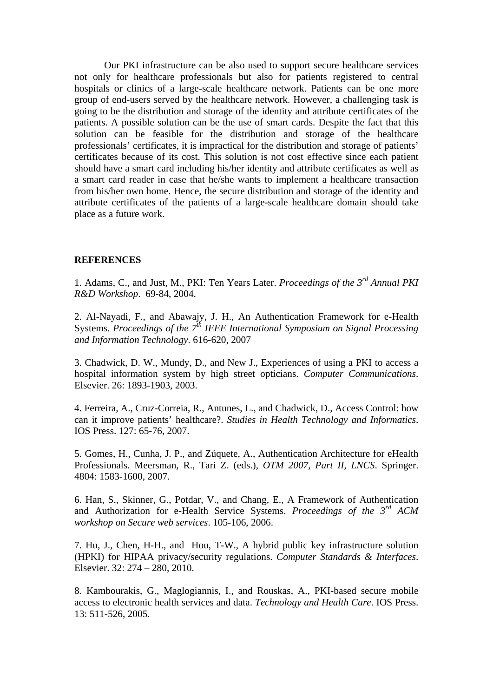Our PKI infrastructure can be also used to support secure healthcare services not only for healthcare professionals but also for patients registered to central hospitals or clinics of a large-scale healthcare network. Patients can be one more group of end-users served by the healthcare network. However, a challenging task is going to be the distribution and storage of the identity and attribute certificates of the patients. A possible solution can be the use of smart cards. Despite the fact that this solution can be feasible for the distribution and storage of the healthcare professionals' certificates, it is impractical for the distribution and storage of patients' certificates because of its cost. This solution is not cost effective since each patient should have a smart card including his/her identity and attribute certificates as well as a smart card reader in case that he/she wants to implement a healthcare transaction from his/her own home. Hence, the secure distribution and storage of the identity and attribute certificates of the patients of a large-scale healthcare domain should take place as a future work.

#### **REFERENCES**

1. Adams, C., and Just, M., PKI: Ten Years Later. *Proceedings of the 3rd Annual PKI R&D Workshop*. 69-84, 2004.

2. Al-Nayadi, F., and Abawajy, J. H., An Authentication Framework for e-Health Systems. *Proceedings of the 7th IEEE International Symposium on Signal Processing and Information Technology*. 616-620, 2007

3. Chadwick, D. W., Mundy, D., and New J., Experiences of using a PKI to access a hospital information system by high street opticians. *Computer Communications*. Elsevier. 26: 1893-1903, 2003.

4. Ferreira, A., Cruz-Correia, R., Antunes, L., and Chadwick, D., Access Control: how can it improve patients' healthcare?. *Studies in Health Technology and Informatics*. IOS Press. 127: 65-76, 2007.

5. Gomes, H., Cunha, J. P., and Zúquete, A., Authentication Architecture for eHealth Professionals. Meersman, R., Tari Z. (eds.), *OTM 2007, Part II, LNCS*. Springer. 4804: 1583-1600, 2007.

6. Han, S., Skinner, G., Potdar, V., and Chang, E., A Framework of Authentication and Authorization for e-Health Service Systems. *Proceedings of the 3rd ACM workshop on Secure web services*. 105-106, 2006.

7. Hu, J., Chen, H-H., and Hou, T-W., A hybrid public key infrastructure solution (HPKI) for HIPAA privacy/security regulations. *Computer Standards & Interfaces*. Elsevier. 32: 274 – 280, 2010.

8. Kambourakis, G., Maglogiannis, I., and Rouskas, A., PKI-based secure mobile access to electronic health services and data. *Technology and Health Care*. IOS Press. 13: 511-526, 2005.